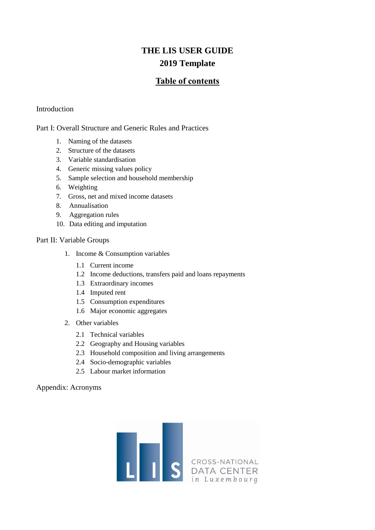# **Table of contents**

#### [Introduction](#page-1-0)

[Part I: Overall Structure and Generic Rules and Practices](#page-1-1)

- 1. [Naming of the datasets](#page-1-2)
- 2. [Structure of the datasets](#page-1-3)
- 3. [Variable standardisation](#page-2-0)
- 4. [Generic missing values policy](#page-2-1)
- 5. [Sample selection and household membership](#page-3-0)
- 6. [Weighting](#page-3-1)
- 7. [Gross, net and mixed income datasets](#page-4-0)
- 8. [Annualisation](#page-5-0)
- 9. [Aggregation rules](#page-5-1)
- 10. [Data editing and imputation](#page-6-0)

#### [Part II: Variable Groups](#page-7-0)

- 1. [Income & Consumption variables](#page-7-1)
	- 1.1 [Current income](#page-8-0)
	- 1.2 [Income deductions, transfers paid and loans repayments](#page-9-0)
	- 1.3 [Extraordinary incomes](#page-9-1)
	- 1.4 [Imputed rent](#page-9-2)
	- 1.5 [Consumption expenditures](#page-9-3)
	- 1.6 [Major economic aggregates](#page-10-0)
- 2. [Other variables](#page-11-0)
	- 2.1 [Technical variables](#page-11-1)
	- 2.2 [Geography and Housing variables](#page-11-2)
	- 2.3 [Household composition and living arrangements](#page-11-3)
	- 2.4 [Socio-demographic variables](#page-12-0)
	- 2.5 [Labour market information](#page-13-0)

[Appendix: Acronyms](#page-15-0)

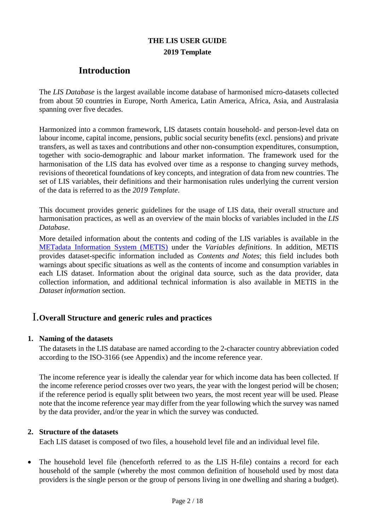# **Introduction**

<span id="page-1-0"></span>The *LIS Database* is the largest available income database of harmonised micro-datasets collected from about 50 countries in Europe, North America, Latin America, Africa, Asia, and Australasia spanning over five decades.

Harmonized into a common framework, LIS datasets contain household- and person-level data on labour income, capital income, pensions, public social security benefits (excl. pensions) and private transfers, as well as taxes and contributions and other non-consumption expenditures, consumption, together with socio-demographic and labour market information. The framework used for the harmonisation of the LIS data has evolved over time as a response to changing survey methods, revisions of theoretical foundations of key concepts, and integration of data from new countries. The set of LIS variables, their definitions and their harmonisation rules underlying the current version of the data is referred to as the *2019 Template*.

This document provides generic guidelines for the usage of LIS data, their overall structure and harmonisation practices, as well as an overview of the main blocks of variables included in the *LIS Database*.

More detailed information about the contents and coding of the LIS variables is available in the [METadata Information System \(METIS\)](https://www.lisdatacenter.org/our-data/metadata/) under the *Variables definitions*. In addition, METIS provides dataset-specific information included as *Contents and Notes*; this field includes both warnings about specific situations as well as the contents of income and consumption variables in each LIS dataset. Information about the original data source, such as the data provider, data collection information, and additional technical information is also available in METIS in the *Dataset information* section.

# <span id="page-1-1"></span>I.**Overall Structure and generic rules and practices**

### <span id="page-1-2"></span>**1. Naming of the datasets**

The datasets in the LIS database are named according to the 2-character country abbreviation coded according to the ISO-3166 (see Appendix) and the income reference year.

The income reference year is ideally the calendar year for which income data has been collected. If the income reference period crosses over two years, the year with the longest period will be chosen; if the reference period is equally split between two years, the most recent year will be used. Please note that the income reference year may differ from the year following which the survey was named by the data provider, and/or the year in which the survey was conducted.

### <span id="page-1-3"></span>**2. Structure of the datasets**

Each LIS dataset is composed of two files, a household level file and an individual level file.

 The household level file (henceforth referred to as the LIS H-file) contains a record for each household of the sample (whereby the most common definition of household used by most data providers is the single person or the group of persons living in one dwelling and sharing a budget).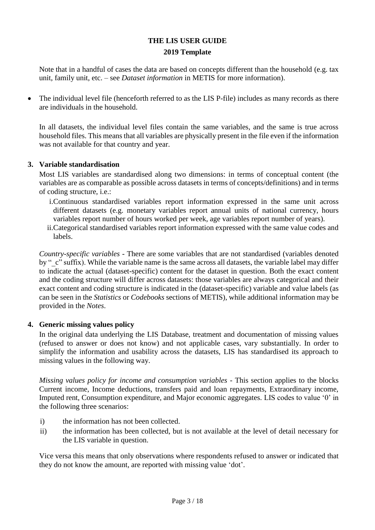Note that in a handful of cases the data are based on concepts different than the household (e.g. tax unit, family unit, etc. – see *Dataset information* in METIS for more information).

 The individual level file (henceforth referred to as the LIS P-file) includes as many records as there are individuals in the household.

In all datasets, the individual level files contain the same variables, and the same is true across household files. This means that all variables are physically present in the file even if the information was not available for that country and year.

### <span id="page-2-0"></span>**3. Variable standardisation**

Most LIS variables are standardised along two dimensions: in terms of conceptual content (the variables are as comparable as possible across datasets in terms of concepts/definitions) and in terms of coding structure, i.e.:

- i.Continuous standardised variables report information expressed in the same unit across different datasets (e.g. monetary variables report annual units of national currency, hours variables report number of hours worked per week, age variables report number of years).
- ii.Categorical standardised variables report information expressed with the same value codes and labels.

*Country-specific variables* - There are some variables that are not standardised (variables denoted by " c" suffix). While the variable name is the same across all datasets, the variable label may differ to indicate the actual (dataset-specific) content for the dataset in question. Both the exact content and the coding structure will differ across datasets: those variables are always categorical and their exact content and coding structure is indicated in the (dataset-specific) variable and value labels (as can be seen in the *Statistics* or *Codebooks* sections of METIS), while additional information may be provided in the *Notes*.

### <span id="page-2-1"></span>**4. Generic missing values policy**

In the original data underlying the LIS Database, treatment and documentation of missing values (refused to answer or does not know) and not applicable cases, vary substantially. In order to simplify the information and usability across the datasets, LIS has standardised its approach to missing values in the following way.

*Missing values policy for income and consumption variables -* This section applies to the blocks Current income, Income deductions, transfers paid and loan repayments, Extraordinary income, Imputed rent, Consumption expenditure, and Major economic aggregates. LIS codes to value '0' in the following three scenarios:

- i) the information has not been collected.
- ii) the information has been collected, but is not available at the level of detail necessary for the LIS variable in question.

Vice versa this means that only observations where respondents refused to answer or indicated that they do not know the amount, are reported with missing value 'dot'.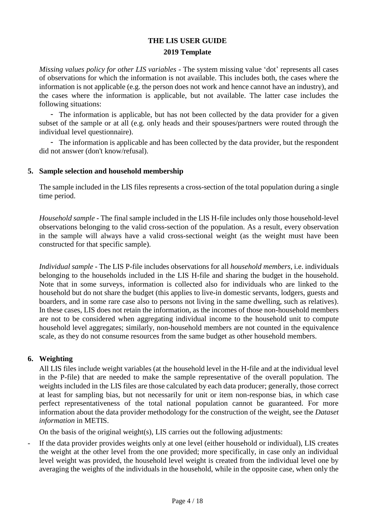*Missing values policy for other LIS variables -* The system missing value 'dot' represents all cases of observations for which the information is not available. This includes both, the cases where the information is not applicable (e.g. the person does not work and hence cannot have an industry), and the cases where the information is applicable, but not available. The latter case includes the following situations:

- The information is applicable, but has not been collected by the data provider for a given subset of the sample or at all (e.g. only heads and their spouses/partners were routed through the individual level questionnaire).

- The information is applicable and has been collected by the data provider, but the respondent did not answer (don't know/refusal).

### <span id="page-3-0"></span>**5. Sample selection and household membership**

The sample included in the LIS files represents a cross-section of the total population during a single time period.

*Household sample -* The final sample included in the LIS H-file includes only those household-level observations belonging to the valid cross-section of the population. As a result, every observation in the sample will always have a valid cross-sectional weight (as the weight must have been constructed for that specific sample).

*Individual sample -* The LIS P-file includes observations for all *household members*, i.e. individuals belonging to the households included in the LIS H-file and sharing the budget in the household. Note that in some surveys, information is collected also for individuals who are linked to the household but do not share the budget (this applies to live-in domestic servants, lodgers, guests and boarders, and in some rare case also to persons not living in the same dwelling, such as relatives). In these cases, LIS does not retain the information, as the incomes of those non-household members are not to be considered when aggregating individual income to the household unit to compute household level aggregates; similarly, non-household members are not counted in the equivalence scale, as they do not consume resources from the same budget as other household members.

### <span id="page-3-1"></span>**6. Weighting**

All LIS files include weight variables (at the household level in the H-file and at the individual level in the P-file) that are needed to make the sample representative of the overall population. The weights included in the LIS files are those calculated by each data producer; generally, those correct at least for sampling bias, but not necessarily for unit or item non-response bias, in which case perfect representativeness of the total national population cannot be guaranteed. For more information about the data provider methodology for the construction of the weight, see the *Dataset information* in METIS.

On the basis of the original weight(s), LIS carries out the following adjustments:

- If the data provider provides weights only at one level (either household or individual), LIS creates the weight at the other level from the one provided; more specifically, in case only an individual level weight was provided, the household level weight is created from the individual level one by averaging the weights of the individuals in the household, while in the opposite case, when only the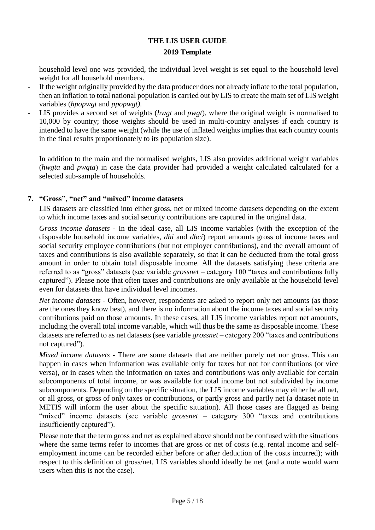household level one was provided, the individual level weight is set equal to the household level weight for all household members.

- If the weight originally provided by the data producer does not already inflate to the total population, then an inflation to total national population is carried out by LIS to create the main set of LIS weight variables (*hpopwgt* and *ppopwgt)*.
- LIS provides a second set of weights (*hwgt* and *pwgt*), where the original weight is normalised to 10,000 by country; those weights should be used in multi-country analyses if each country is intended to have the same weight (while the use of inflated weights implies that each country counts in the final results proportionately to its population size).

In addition to the main and the normalised weights, LIS also provides additional weight variables (*hwgta* and *pwgta*) in case the data provider had provided a weight calculated calculated for a selected sub-sample of households.

### <span id="page-4-0"></span>**7. "Gross", "net" and "mixed" income datasets**

LIS datasets are classified into either gross, net or mixed income datasets depending on the extent to which income taxes and social security contributions are captured in the original data.

*Gross income datasets* - In the ideal case, all LIS income variables (with the exception of the disposable household income variables, *dhi* and *dhci*) report amounts gross of income taxes and social security employee contributions (but not employer contributions), and the overall amount of taxes and contributions is also available separately, so that it can be deducted from the total gross amount in order to obtain total disposable income. All the datasets satisfying these criteria are referred to as "gross" datasets (see variable *grossnet* – category 100 "taxes and contributions fully captured"). Please note that often taxes and contributions are only available at the household level even for datasets that have individual level incomes.

*Net income datasets -* Often, however, respondents are asked to report only net amounts (as those are the ones they know best), and there is no information about the income taxes and social security contributions paid on those amounts. In these cases, all LIS income variables report net amounts, including the overall total income variable, which will thus be the same as disposable income. These datasets are referred to as net datasets (see variable *grossnet* – category 200 "taxes and contributions not captured").

*Mixed income datasets -* There are some datasets that are neither purely net nor gross. This can happen in cases when information was available only for taxes but not for contributions (or vice versa), or in cases when the information on taxes and contributions was only available for certain subcomponents of total income, or was available for total income but not subdivided by income subcomponents. Depending on the specific situation, the LIS income variables may either be all net, or all gross, or gross of only taxes or contributions, or partly gross and partly net (a dataset note in METIS will inform the user about the specific situation). All those cases are flagged as being "mixed" income datasets (see variable *grossnet* – category 300 "taxes and contributions insufficiently captured").

Please note that the term gross and net as explained above should not be confused with the situations where the same terms refer to incomes that are gross or net of costs (e.g. rental income and selfemployment income can be recorded either before or after deduction of the costs incurred); with respect to this definition of gross/net, LIS variables should ideally be net (and a note would warn users when this is not the case).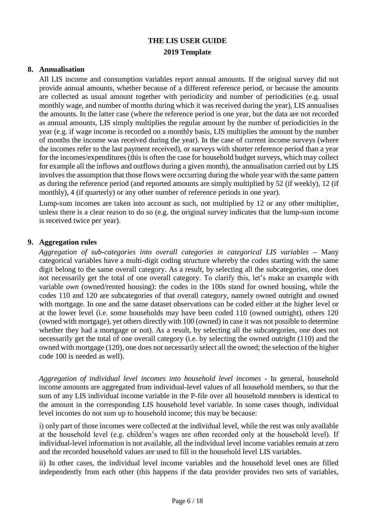### <span id="page-5-0"></span>**8. Annualisation**

All LIS income and consumption variables report annual amounts. If the original survey did not provide annual amounts, whether because of a different reference period, or because the amounts are collected as usual amount together with periodicity and number of periodicities (e.g. usual monthly wage, and number of months during which it was received during the year), LIS annualises the amounts. In the latter case (where the reference period is one year, but the data are not recorded as annual amounts, LIS simply multiplies the regular amount by the number of periodicities in the year (e.g. if wage income is recorded on a monthly basis, LIS multiplies the amount by the number of months the income was received during the year). In the case of current income surveys (where the incomes refer to the last payment received), or surveys with shorter reference period than a year for the incomes/expenditures (this is often the case for household budget surveys, which may collect for example all the inflows and outflows during a given month), the annualisation carried out by LIS involves the assumption that those flows were occurring during the whole year with the same pattern as during the reference period (and reported amounts are simply multiplied by 52 (if weekly), 12 (if monthly), 4 (if quarterly) or any other number of reference periods in one year).

Lump-sum incomes are taken into account as such, not multiplied by 12 or any other multiplier, unless there is a clear reason to do so (e.g. the original survey indicates that the lump-sum income is received twice per year).

### <span id="page-5-1"></span>**9. Aggregation rules**

*Aggregation of sub-categories into overall categories in categorical LIS variables –* Many categorical variables have a multi-digit coding structure whereby the codes starting with the same digit belong to the same overall category. As a result, by selecting all the subcategories, one does not necessarily get the total of one overall category. To clarify this, let's make an example with variable *own* (owned/rented housing): the codes in the 100s stand for owned housing, while the codes 110 and 120 are subcategories of that overall category, namely owned outright and owned with mortgage. In one and the same dataset observations can be coded either at the higher level or at the lower level (i.e. some households may have been coded 110 (owned outright), others 120 (owned with mortgage), yet others directly with 100 (owned) in case it was not possible to determine whether they had a mortgage or not). As a result, by selecting all the subcategories, one does not necessarily get the total of one overall category (i.e. by selecting the owned outright (110) and the owned with mortgage (120), one does not necessarily select all the owned; the selection of the higher code 100 is needed as well).

*Aggregation of individual level incomes into household level incomes* - In general, household income amounts are aggregated from individual-level values of all household members, so that the sum of any LIS individual income variable in the P-file over all household members is identical to the amount in the corresponding LIS household level variable. In some cases though, individual level incomes do not sum up to household income; this may be because:

i) only part of those incomes were collected at the individual level, while the rest was only available at the household level (e.g. children's wages are often recorded only at the household level). If individual-level information is not available, all the individual level income variables remain at zero and the recorded household values are used to fill in the household level LIS variables.

ii) In other cases, the individual level income variables and the household level ones are filled independently from each other (this happens if the data provider provides two sets of variables,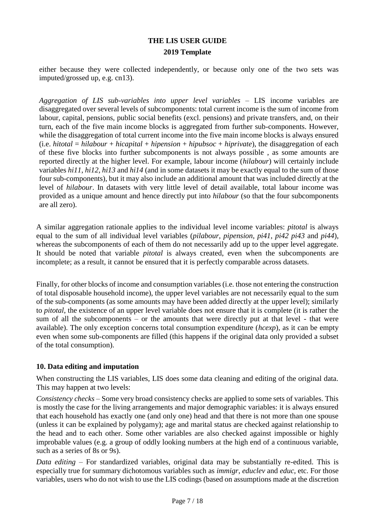either because they were collected independently, or because only one of the two sets was imputed/grossed up, e.g. cn13).

*Aggregation of LIS sub-variables into upper level variables* – LIS income variables are disaggregated over several levels of subcomponents: total current income is the sum of income from labour, capital, pensions, public social benefits (excl. pensions) and private transfers, and, on their turn, each of the five main income blocks is aggregated from further sub-components. However, while the disaggregation of total current income into the five main income blocks is always ensured (i.e.  $hitotal = hilabout + hicapital + hipension + hipubsoc + hiprivate$ ), the disaggregation of each of these five blocks into further subcomponents is not always possible , as some amounts are reported directly at the higher level. For example, labour income (*hilabour*) will certainly include variables *hi11*, *hi12*, *hi13* and *hi14* (and in some datasets it may be exactly equal to the sum of those four sub-components), but it may also include an additional amount that was included directly at the level of *hilabour*. In datasets with very little level of detail available, total labour income was provided as a unique amount and hence directly put into *hilabour* (so that the four subcomponents are all zero).

A similar aggregation rationale applies to the individual level income variables: *pitotal* is always equal to the sum of all individual level variables (*pilabour*, *pipension*, *pi41*, *pi42 pi43* and *pi44*), whereas the subcomponents of each of them do not necessarily add up to the upper level aggregate. It should be noted that variable *pitotal* is always created, even when the subcomponents are incomplete; as a result, it cannot be ensured that it is perfectly comparable across datasets.

Finally, for other blocks of income and consumption variables (i.e. those not entering the construction of total disposable household income), the upper level variables are not necessarily equal to the sum of the sub-components (as some amounts may have been added directly at the upper level); similarly to *pitotal*, the existence of an upper level variable does not ensure that it is complete (it is rather the sum of all the subcomponents – or the amounts that were directly put at that level - that were available). The only exception concerns total consumption expenditure (*hcexp*), as it can be empty even when some sub-components are filled (this happens if the original data only provided a subset of the total consumption).

### <span id="page-6-0"></span>**10. Data editing and imputation**

When constructing the LIS variables, LIS does some data cleaning and editing of the original data. This may happen at two levels:

*Consistency checks* – Some very broad consistency checks are applied to some sets of variables. This is mostly the case for the living arrangements and major demographic variables: it is always ensured that each household has exactly one (and only one) head and that there is not more than one spouse (unless it can be explained by polygamy); age and marital status are checked against relationship to the head and to each other. Some other variables are also checked against impossible or highly improbable values (e.g. a group of oddly looking numbers at the high end of a continuous variable, such as a series of 8s or 9s).

*Data editing* – For standardized variables, original data may be substantially re-edited. This is especially true for summary dichotomous variables such as *immigr*, *educlev* and *educ*, etc. For those variables, users who do not wish to use the LIS codings (based on assumptions made at the discretion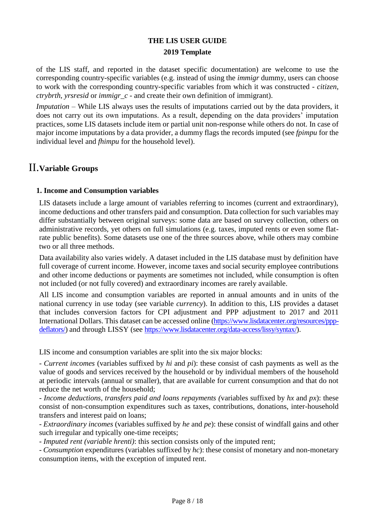of the LIS staff, and reported in the dataset specific documentation) are welcome to use the corresponding country-specific variables (e.g. instead of using the *immigr* dummy, users can choose to work with the corresponding country-specific variables from which it was constructed - *citizen*, *ctrybrth*, *yrsresid* or *immigr\_c* - and create their own definition of immigrant).

*Imputation* – While LIS always uses the results of imputations carried out by the data providers, it does not carry out its own imputations. As a result, depending on the data providers' imputation practices, some LIS datasets include item or partial unit non-response while others do not. In case of major income imputations by a data provider, a dummy flags the records imputed (see *fpimpu* for the individual level and *fhimpu* for the household level).

# <span id="page-7-0"></span>II.**Variable Groups**

### <span id="page-7-1"></span>**1. Income and Consumption variables**

LIS datasets include a large amount of variables referring to incomes (current and extraordinary), income deductions and other transfers paid and consumption. Data collection for such variables may differ substantially between original surveys: some data are based on survey collection, others on administrative records, yet others on full simulations (e.g. taxes, imputed rents or even some flatrate public benefits). Some datasets use one of the three sources above, while others may combine two or all three methods.

Data availability also varies widely. A dataset included in the LIS database must by definition have full coverage of current income. However, income taxes and social security employee contributions and other income deductions or payments are sometimes not included, while consumption is often not included (or not fully covered) and extraordinary incomes are rarely available.

All LIS income and consumption variables are reported in annual amounts and in units of the national currency in use today (see variable *currency*). In addition to this, LIS provides a dataset that includes conversion factors for CPI adjustment and PPP adjustment to 2017 and 2011 International Dollars. This dataset can be accessed online [\(https://www.lisdatacenter.org/resources/ppp](https://www.lisdatacenter.org/resources/ppp-deflators/)[deflators/\)](https://www.lisdatacenter.org/resources/ppp-deflators/) and through LISSY (see [https://www.lisdatacenter.org/data-access/lissy/syntax/\)](https://www.lisdatacenter.org/data-access/lissy/syntax/).

LIS income and consumption variables are split into the six major blocks:

*- Current incomes* (variables suffixed by *hi* and *pi*): these consist of cash payments as well as the value of goods and services received by the household or by individual members of the household at periodic intervals (annual or smaller), that are available for current consumption and that do not reduce the net worth of the household;

*- Income deductions, transfers paid and loans repayments (*variables suffixed by *hx* and *px*): these consist of non-consumption expenditures such as taxes, contributions, donations, inter-household transfers and interest paid on loans;

*- Extraordinary incomes* (variables suffixed by *he* and *pe*): these consist of windfall gains and other such irregular and typically one-time receipts;

*- Imputed rent (variable hrenti)*: this section consists only of the imputed rent;

*- Consumption* expenditures (variables suffixed by *hc*): these consist of monetary and non-monetary consumption items, with the exception of imputed rent.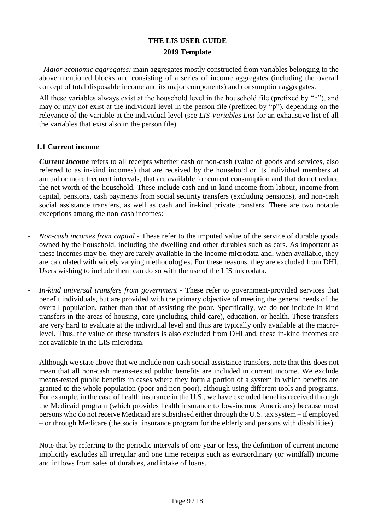*- Major economic aggregates:* main aggregates mostly constructed from variables belonging to the above mentioned blocks and consisting of a series of income aggregates (including the overall concept of total disposable income and its major components) and consumption aggregates.

All these variables always exist at the household level in the household file (prefixed by "h"), and may or may not exist at the individual level in the person file (prefixed by "p"), depending on the relevance of the variable at the individual level (see *LIS Variables List* for an exhaustive list of all the variables that exist also in the person file).

### <span id="page-8-0"></span>**1.1 Current income**

*Current income* refers to all receipts whether cash or non-cash (value of goods and services, also referred to as in-kind incomes) that are received by the household or its individual members at annual or more frequent intervals, that are available for current consumption and that do not reduce the net worth of the household. These include cash and in-kind income from labour, income from capital, pensions, cash payments from social security transfers (excluding pensions), and non-cash social assistance transfers, as well as cash and in-kind private transfers. There are two notable exceptions among the non-cash incomes:

- *Non-cash incomes from capital -* These refer to the imputed value of the service of durable goods owned by the household, including the dwelling and other durables such as cars. As important as these incomes may be, they are rarely available in the income microdata and, when available, they are calculated with widely varying methodologies. For these reasons, they are excluded from DHI. Users wishing to include them can do so with the use of the LIS microdata.
- *In-kind universal transfers from government -* These refer to government-provided services that benefit individuals, but are provided with the primary objective of meeting the general needs of the overall population, rather than that of assisting the poor. Specifically, we do not include in-kind transfers in the areas of housing, care (including child care), education, or health. These transfers are very hard to evaluate at the individual level and thus are typically only available at the macrolevel. Thus, the value of these transfers is also excluded from DHI and, these in-kind incomes are not available in the LIS microdata.

Although we state above that we include non-cash social assistance transfers, note that this does not mean that all non-cash means-tested public benefits are included in current income. We exclude means-tested public benefits in cases where they form a portion of a system in which benefits are granted to the whole population (poor and non-poor), although using different tools and programs. For example, in the case of health insurance in the U.S., we have excluded benefits received through the Medicaid program (which provides health insurance to low-income Americans) because most persons who do not receive Medicaid are subsidised either through the U.S. tax system – if employed – or through Medicare (the social insurance program for the elderly and persons with disabilities).

Note that by referring to the periodic intervals of one year or less, the definition of current income implicitly excludes all irregular and one time receipts such as extraordinary (or windfall) income and inflows from sales of durables, and intake of loans.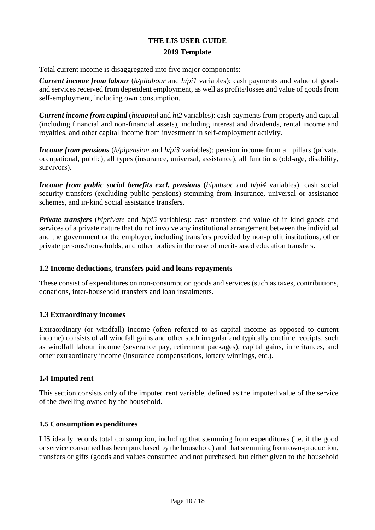Total current income is disaggregated into five major components:

*Current income from labour* (*h/pilabour* and *h/pi1* variables): cash payments and value of goods and services received from dependent employment, as well as profits/losses and value of goods from self-employment, including own consumption.

*Current income from capital* (*hicapital* and *hi2* variables): cash payments from property and capital (including financial and non-financial assets), including interest and dividends, rental income and royalties, and other capital income from investment in self-employment activity.

*Income from pensions* (*h/pipension* and *h/pi3* variables): pension income from all pillars (private, occupational, public), all types (insurance, universal, assistance), all functions (old-age, disability, survivors).

*Income from public social benefits excl. pensions (<i>hipubsoc* and *h/pi4* variables): cash social security transfers (excluding public pensions) stemming from insurance, universal or assistance schemes, and in-kind social assistance transfers.

*Private transfers (hiprivate and*  $h$ */pi5* variables): cash transfers and value of in-kind goods and services of a private nature that do not involve any institutional arrangement between the individual and the government or the employer, including transfers provided by non-profit institutions, other private persons/households, and other bodies in the case of merit-based education transfers.

### <span id="page-9-0"></span>**1.2 Income deductions, transfers paid and loans repayments**

These consist of expenditures on non-consumption goods and services (such as taxes, contributions, donations, inter-household transfers and loan instalments.

### <span id="page-9-1"></span>**1.3 Extraordinary incomes**

Extraordinary (or windfall) income (often referred to as capital income as opposed to current income) consists of all windfall gains and other such irregular and typically onetime receipts, such as windfall labour income (severance pay, retirement packages), capital gains, inheritances, and other extraordinary income (insurance compensations, lottery winnings, etc.).

### <span id="page-9-2"></span>**1.4 Imputed rent**

This section consists only of the imputed rent variable, defined as the imputed value of the service of the dwelling owned by the household.

### <span id="page-9-3"></span>**1.5 Consumption expenditures**

LIS ideally records total consumption, including that stemming from expenditures (i.e. if the good or service consumed has been purchased by the household) and that stemming from own-production, transfers or gifts (goods and values consumed and not purchased, but either given to the household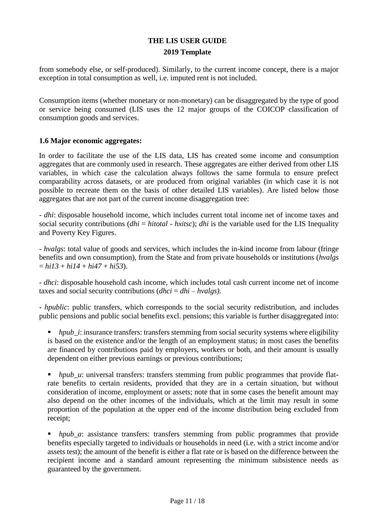from somebody else, or self-produced). Similarly, to the current income concept, there is a major exception in total consumption as well, i.e. imputed rent is not included.

Consumption items (whether monetary or non-monetary) can be disaggregated by the type of good or service being consumed (LIS uses the 12 major groups of the COICOP classification of consumption goods and services.

#### <span id="page-10-0"></span>**1.6 Major economic aggregates:**

In order to facilitate the use of the LIS data, LIS has created some income and consumption aggregates that are commonly used in research. These aggregates are either derived from other LIS variables, in which case the calculation always follows the same formula to ensure prefect comparability across datasets, or are produced from original variables (in which case it is not possible to recreate them on the basis of other detailed LIS variables). Are listed below those aggregates that are not part of the current income disaggregation tree:

*- dhi*: disposable household income, which includes current total income net of income taxes and social security contributions (*dhi* = *hitotal* - *hxitsc*); *dhi* is the variable used for the LIS Inequality and Poverty Key Figures.

*- hvalgs*: total value of goods and services, which includes the in-kind income from labour (fringe benefits and own consumption), from the State and from private households or institutions (*hvalgs*  $= h i 13 + h i 14 + h i 47 + h i 53$ .

*- dhci*: disposable household cash income, which includes total cash current income net of income taxes and social security contributions (*dhci* = *dhi* – *hvalgs).*

*- hpublic*: public transfers, which corresponds to the social security redistribution, and includes public pensions and public social benefits excl. pensions; this variable is further disaggregated into:

*hpub\_i*: insurance transfers: transfers stemming from social security systems where eligibility is based on the existence and/or the length of an employment status; in most cases the benefits are financed by contributions paid by employers, workers or both, and their amount is usually dependent on either previous earnings or previous contributions;

*hpub\_u*: universal transfers: transfers stemming from public programmes that provide flatrate benefits to certain residents, provided that they are in a certain situation, but without consideration of income, employment or assets; note that in some cases the benefit amount may also depend on the other incomes of the individuals, which at the limit may result in some proportion of the population at the upper end of the income distribution being excluded from receipt;

*hpub\_a*: assistance transfers: transfers stemming from public programmes that provide benefits especially targeted to individuals or households in need (i.e. with a strict income and/or assets test); the amount of the benefit is either a flat rate or is based on the difference between the recipient income and a standard amount representing the minimum subsistence needs as guaranteed by the government.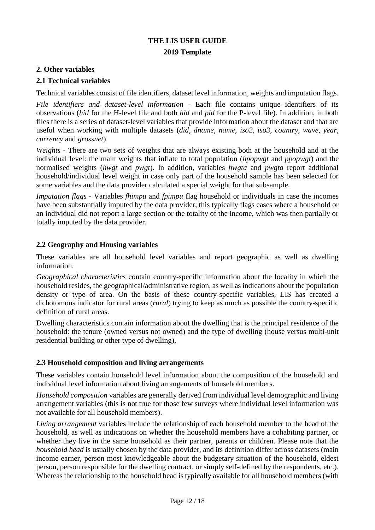### <span id="page-11-0"></span>**2. Other variables**

#### <span id="page-11-1"></span>**2.1 Technical variables**

Technical variables consist of file identifiers, dataset level information, weights and imputation flags.

*File identifiers and dataset-level information* - Each file contains unique identifiers of its observations (*hid* for the H-level file and both *hid* and *pid* for the P-level file). In addition, in both files there is a series of dataset-level variables that provide information about the dataset and that are useful when working with multiple datasets (*did*, *dname*, *name*, *iso2*, *iso3*, *country*, *wave*, *year, currency* and *grossnet*).

*Weights -* There are two sets of weights that are always existing both at the household and at the individual level: the main weights that inflate to total population (*hpopwgt* and *ppopwgt*) and the normalised weights (*hwgt* and *pwgt*). In addition, variables *hwgta* and *pwgta* report additional household/individual level weight in case only part of the household sample has been selected for some variables and the data provider calculated a special weight for that subsample.

*Imputation flags* - Variables *fhimpu* and *fpimpu* flag household or individuals in case the incomes have been substantially imputed by the data provider; this typically flags cases where a household or an individual did not report a large section or the totality of the income, which was then partially or totally imputed by the data provider.

#### <span id="page-11-2"></span>**2.2 Geography and Housing variables**

These variables are all household level variables and report geographic as well as dwelling information.

*Geographical characteristics* contain country-specific information about the locality in which the household resides, the geographical/administrative region, as well as indications about the population density or type of area. On the basis of these country-specific variables, LIS has created a dichotomous indicator for rural areas (*rural*) trying to keep as much as possible the country-specific definition of rural areas.

Dwelling characteristics contain information about the dwelling that is the principal residence of the household: the tenure (owned versus not owned) and the type of dwelling (house versus multi-unit residential building or other type of dwelling).

#### <span id="page-11-3"></span>**2.3 Household composition and living arrangements**

These variables contain household level information about the composition of the household and individual level information about living arrangements of household members.

*Household composition* variables are generally derived from individual level demographic and living arrangement variables (this is not true for those few surveys where individual level information was not available for all household members).

*Living arrangement* variables include the relationship of each household member to the head of the household, as well as indications on whether the household members have a cohabiting partner, or whether they live in the same household as their partner, parents or children. Please note that the *household head* is usually chosen by the data provider, and its definition differ across datasets (main income earner, person most knowledgeable about the budgetary situation of the household, eldest person, person responsible for the dwelling contract, or simply self-defined by the respondents, etc.). Whereas the relationship to the household head is typically available for all household members (with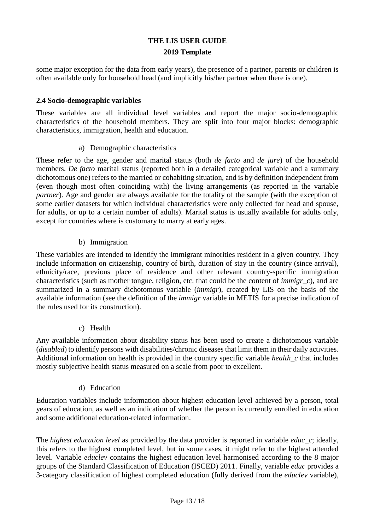some major exception for the data from early years), the presence of a partner, parents or children is often available only for household head (and implicitly his/her partner when there is one).

### <span id="page-12-0"></span>**2.4 Socio-demographic variables**

These variables are all individual level variables and report the major socio-demographic characteristics of the household members. They are split into four major blocks: demographic characteristics, immigration, health and education.

### a) Demographic characteristics

These refer to the age, gender and marital status (both *de facto* and *de jure*) of the household members. *De facto* marital status (reported both in a detailed categorical variable and a summary dichotomous one) refers to the married or cohabiting situation, and is by definition independent from (even though most often coinciding with) the living arrangements (as reported in the variable *partner*). Age and gender are always available for the totality of the sample (with the exception of some earlier datasets for which individual characteristics were only collected for head and spouse, for adults, or up to a certain number of adults). Marital status is usually available for adults only, except for countries where is customary to marry at early ages.

### b) Immigration

These variables are intended to identify the immigrant minorities resident in a given country. They include information on citizenship, country of birth, duration of stay in the country (since arrival), ethnicity/race, previous place of residence and other relevant country-specific immigration characteristics (such as mother tongue, religion, etc. that could be the content of *immigr\_c*), and are summarized in a summary dichotomous variable (*immigr*), created by LIS on the basis of the available information (see the definition of the *immigr* variable in METIS for a precise indication of the rules used for its construction).

### c) Health

Any available information about disability status has been used to create a dichotomous variable (*disabled*) to identify persons with disabilities/chronic diseases that limit them in their daily activities. Additional information on health is provided in the country specific variable *health\_c* that includes mostly subjective health status measured on a scale from poor to excellent.

### d) Education

Education variables include information about highest education level achieved by a person, total years of education, as well as an indication of whether the person is currently enrolled in education and some additional education-related information.

The *highest education level* as provided by the data provider is reported in variable *educ\_c*; ideally, this refers to the highest completed level, but in some cases, it might refer to the highest attended level. Variable *educlev* contains the highest education level harmonised according to the 8 major groups of the Standard Classification of Education (ISCED) 2011. Finally, variable *educ* provides a 3-category classification of highest completed education (fully derived from the *educlev* variable),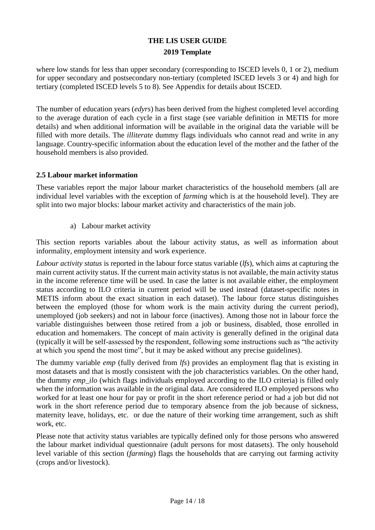where low stands for less than upper secondary (corresponding to ISCED levels 0, 1 or 2), medium for upper secondary and postsecondary non-tertiary (completed ISCED levels 3 or 4) and high for tertiary (completed ISCED levels 5 to 8). See Appendix for details about ISCED.

The number of education years (*edyrs*) has been derived from the highest completed level according to the average duration of each cycle in a first stage (see variable definition in METIS for more details) and when additional information will be available in the original data the variable will be filled with more details. The *illiterate* dummy flags individuals who cannot read and write in any language. Country-specific information about the education level of the mother and the father of the household members is also provided.

### <span id="page-13-0"></span>**2.5 Labour market information**

These variables report the major labour market characteristics of the household members (all are individual level variables with the exception of *farming* which is at the household level). They are split into two major blocks: labour market activity and characteristics of the main job.

a) Labour market activity

This section reports variables about the labour activity status, as well as information about informality, employment intensity and work experience.

*Labour activity status* is reported in the labour force status variable (*lfs*), which aims at capturing the main current activity status. If the current main activity status is not available, the main activity status in the income reference time will be used. In case the latter is not available either, the employment status according to ILO criteria in current period will be used instead (dataset-specific notes in METIS inform about the exact situation in each dataset). The labour force status distinguishes between the employed (those for whom work is the main activity during the current period), unemployed (job seekers) and not in labour force (inactives). Among those not in labour force the variable distinguishes between those retired from a job or business, disabled, those enrolled in education and homemakers. The concept of main activity is generally defined in the original data (typically it will be self-assessed by the respondent, following some instructions such as "the activity at which you spend the most time", but it may be asked without any precise guidelines).

The dummy variable *emp* (fully derived from *lfs*) provides an employment flag that is existing in most datasets and that is mostly consistent with the job characteristics variables. On the other hand, the dummy *emp\_ilo* (which flags individuals employed according to the ILO criteria) is filled only when the information was available in the original data. Are considered ILO employed persons who worked for at least one hour for pay or profit in the short reference period or had a job but did not work in the short reference period due to temporary absence from the job because of sickness, maternity leave, holidays, etc. or due the nature of their working time arrangement, such as shift work, etc.

Please note that activity status variables are typically defined only for those persons who answered the labour market individual questionnaire (adult persons for most datasets). The only household level variable of this section (*farming*) flags the households that are carrying out farming activity (crops and/or livestock).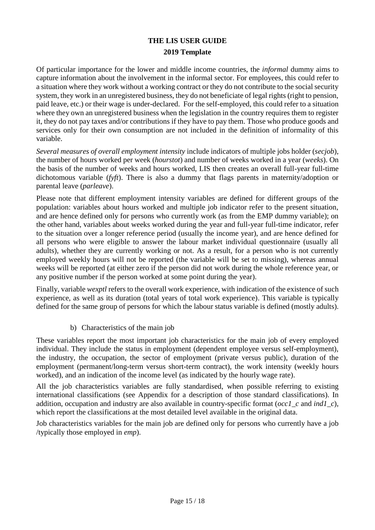Of particular importance for the lower and middle income countries, the *informal* dummy aims to capture information about the involvement in the informal sector. For employees, this could refer to a situation where they work without a working contract or they do not contribute to the social security system, they work in an unregistered business, they do not beneficiate of legal rights (right to pension, paid leave, etc.) or their wage is under-declared. For the self-employed, this could refer to a situation where they own an unregistered business when the legislation in the country requires them to register it, they do not pay taxes and/or contributions if they have to pay them. Those who produce goods and services only for their own consumption are not included in the definition of informality of this variable.

*Several measures of overall employment intensity* include indicators of multiple jobs holder (*secjob*), the number of hours worked per week (*hourstot*) and number of weeks worked in a year (*weeks*). On the basis of the number of weeks and hours worked, LIS then creates an overall full-year full-time dichotomous variable (*fyft*). There is also a dummy that flags parents in maternity/adoption or parental leave (*parleave*).

Please note that different employment intensity variables are defined for different groups of the population: variables about hours worked and multiple job indicator refer to the present situation, and are hence defined only for persons who currently work (as from the EMP dummy variable); on the other hand, variables about weeks worked during the year and full-year full-time indicator, refer to the situation over a longer reference period (usually the income year), and are hence defined for all persons who were eligible to answer the labour market individual questionnaire (usually all adults), whether they are currently working or not. As a result, for a person who is not currently employed weekly hours will not be reported (the variable will be set to missing), whereas annual weeks will be reported (at either zero if the person did not work during the whole reference year, or any positive number if the person worked at some point during the year).

Finally, variable *wexptl* refers to the overall work experience, with indication of the existence of such experience, as well as its duration (total years of total work experience). This variable is typically defined for the same group of persons for which the labour status variable is defined (mostly adults).

b) Characteristics of the main job

These variables report the most important job characteristics for the main job of every employed individual. They include the status in employment (dependent employee versus self-employment), the industry, the occupation, the sector of employment (private versus public), duration of the employment (permanent/long-term versus short-term contract), the work intensity (weekly hours worked), and an indication of the income level (as indicated by the hourly wage rate).

All the job characteristics variables are fully standardised, when possible referring to existing international classifications (see Appendix for a description of those standard classifications). In addition, occupation and industry are also available in country-specific format (*occ1\_c* and *ind1\_c*), which report the classifications at the most detailed level available in the original data.

Job characteristics variables for the main job are defined only for persons who currently have a job /typically those employed in *emp*).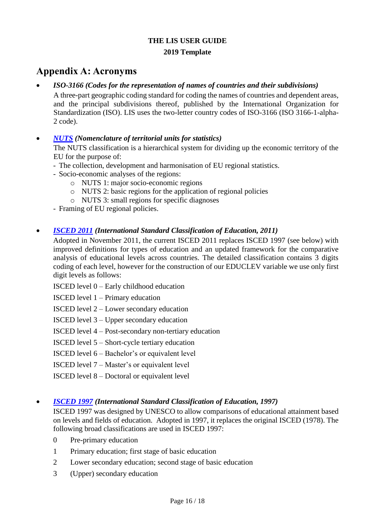# <span id="page-15-0"></span>**Appendix A: Acronyms**

### *ISO-3166 (Codes for the representation of names of countries and their subdivisions)*

A three-part [geographic coding](http://en.wikipedia.org/wiki/Geographic_coding) [standard](http://en.wikipedia.org/wiki/Standardization) for [coding](http://en.wikipedia.org/wiki/Code) the names o[f countries](http://en.wikipedia.org/wiki/Country) an[d dependent areas,](http://en.wikipedia.org/wiki/Dependent_area) and the principal [subdivisions](http://en.wikipedia.org/wiki/Country_subdivision) thereof, published by the [International Organization for](http://en.wikipedia.org/wiki/International_Organization_for_Standardization)  [Standardization](http://en.wikipedia.org/wiki/International_Organization_for_Standardization) (ISO). LIS uses the two-letter country codes of ISO-3166 (ISO 3166-1-alpha-2 code).

### *[NUTS](http://epp.eurostat.ec.europa.eu/portal/page/portal/nuts_nomenclature/introduction) (Nomenclature of territorial units for statistics)*

The NUTS classification is a hierarchical system for dividing up the economic territory of the EU for the purpose of:

- The collection, development and harmonisation of EU regional statistics.
- Socio-economic analyses of the regions:
	- o NUTS 1: major socio-economic regions
	- o NUTS 2: basic regions for the application of regional policies
	- o NUTS 3: small regions for specific diagnoses
- Framing of EU regional policies.

### *[ISCED 2011](http://uis.unesco.org/sites/default/files/documents/international-standard-classification-of-education-isced-2011-en.pdf) (International Standard Classification of Education, 2011)*

Adopted in November 2011, the current ISCED 2011 replaces ISCED 1997 (see below) with improved definitions for types of education and an updated framework for the comparative analysis of educational levels across countries. The detailed classification contains 3 digits coding of each level, however for the construction of our EDUCLEV variable we use only first digit levels as follows:

ISCED level 0 – Early childhood education

ISCED level 1 – Primary education

ISCED level 2 – Lower secondary education

ISCED level 3 – Upper secondary education

ISCED level 4 – Post-secondary non-tertiary education

ISCED level 5 – Short-cycle tertiary education

ISCED level 6 – Bachelor's or equivalent level

ISCED level 7 – Master's or equivalent level

ISCED level 8 – Doctoral or equivalent level

### *[ISCED 1997](http://www.unesco.org/education/information/nfsunesco/doc/isced_1997.htm) (International Standard Classification of Education, 1997)*

ISCED 1997 was designed by UNESCO to allow comparisons of educational attainment based on levels and fields of education. Adopted in 1997, it replaces the original ISCED (1978). The following broad classifications are used in ISCED 1997:

- 0 Pre-primary education
- 1 Primary education; first stage of basic education
- 2 Lower secondary education; second stage of basic education
- 3 (Upper) secondary education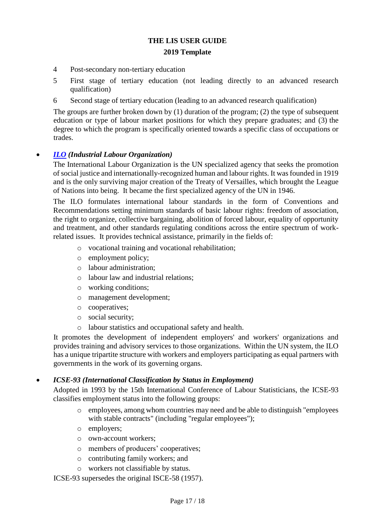- 4 Post-secondary non-tertiary education
- 5 First stage of tertiary education (not leading directly to an advanced research qualification)
- 6 Second stage of tertiary education (leading to an advanced research qualification)

The groups are further broken down by (1) duration of the program; (2) the type of subsequent education or type of labour market positions for which they prepare graduates; and (3) the degree to which the program is specifically oriented towards a specific class of occupations or trades.

### *[ILO](http://www.ilo.org/public/english/about/index.htm) (Industrial Labour Organization)*

The International Labour Organization is the UN specialized agency that seeks the promotion of social justice and internationally-recognized human and labour rights. It was founded in 1919 and is the only surviving major creation of the Treaty of Versailles, which brought the League of Nations into being. It became the first specialized agency of the UN in 1946.

The ILO formulates international labour standards in the form of Conventions and Recommendations setting minimum standards of basic labour rights: freedom of association, the right to organize, collective bargaining, abolition of forced labour, equality of opportunity and treatment, and other standards regulating conditions across the entire spectrum of workrelated issues. It provides technical assistance, primarily in the fields of:

- o vocational training and vocational rehabilitation;
- o employment policy;
- o labour administration;
- o labour law and industrial relations;
- o working conditions;
- o management development;
- o cooperatives;
- o social security;
- o labour statistics and occupational safety and health.

It promotes the development of independent employers' and workers' organizations and provides training and advisory services to those organizations. Within the UN system, the ILO has a unique tripartite structure with workers and employers participating as equal partners with governments in the work of its governing organs.

### *ICSE-93 (International Classification by Status in Employment)*

Adopted in 1993 by the 15th International Conference of Labour Statisticians, the ICSE-93 classifies employment status into the following groups:

- o employees, among whom countries may need and be able to distinguish "employees with stable contracts" (including "regular employees");
- o employers;
- o own-account workers;
- o members of producers' cooperatives;
- o contributing family workers; and
- o workers not classifiable by status.

ICSE-93 supersedes the original ISCE-58 (1957).